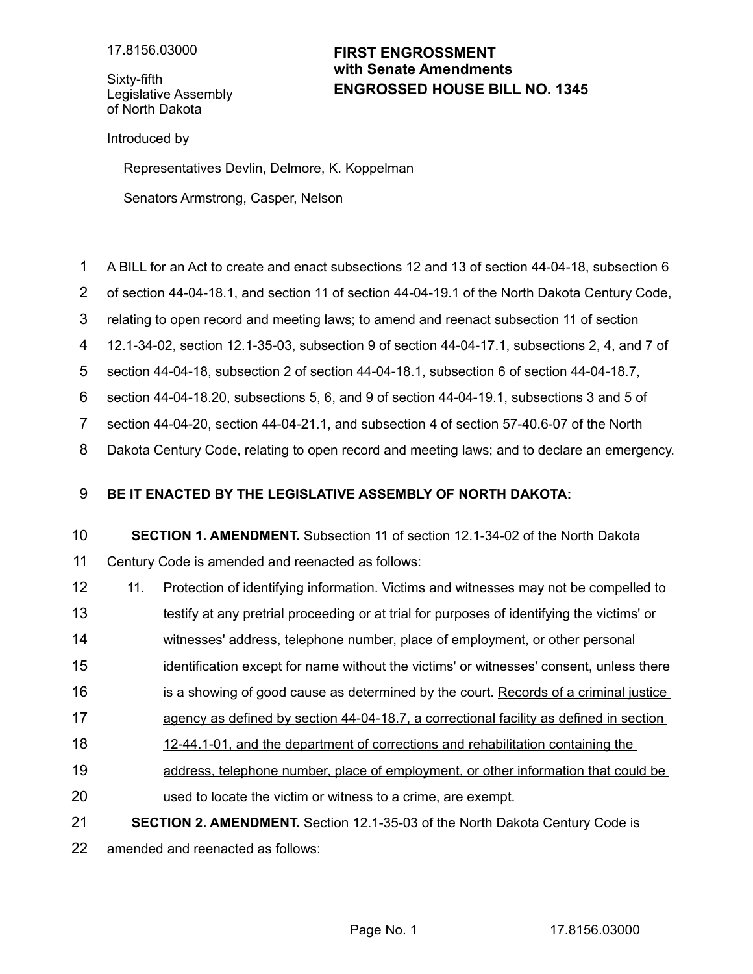Sixty-fifth Legislative Assembly of North Dakota

## **ENGROSSED HOUSE BILL NO. 1345 FIRST ENGROSSMENT with Senate Amendments**

Introduced by

Representatives Devlin, Delmore, K. Koppelman

Senators Armstrong, Casper, Nelson

- A BILL for an Act to create and enact subsections 12 and 13 of section 44-04-18, subsection 6 1
- of section 44-04-18.1, and section 11 of section 44-04-19.1 of the North Dakota Century Code, 2
- relating to open record and meeting laws; to amend and reenact subsection 11 of section 3
- 12.1-34-02, section 12.1-35-03, subsection 9 of section 44-04-17.1, subsections 2, 4, and 7 of 4
- section 44-04-18, subsection 2 of section 44-04-18.1, subsection 6 of section 44-04-18.7, 5
- section 44-04-18.20, subsections 5, 6, and 9 of section 44-04-19.1, subsections 3 and 5 of 6
- section 44-04-20, section 44-04-21.1, and subsection 4 of section 57-40.6-07 of the North 7
- Dakota Century Code, relating to open record and meeting laws; and to declare an emergency. 8

## **BE IT ENACTED BY THE LEGISLATIVE ASSEMBLY OF NORTH DAKOTA:** 9

## **SECTION 1. AMENDMENT.** Subsection 11 of section 12.1-34-02 of the North Dakota Century Code is amended and reenacted as follows: 10 11

- 11. Protection of identifying information. Victims and witnesses may not be compelled to 12
- testify at any pretrial proceeding or at trial for purposes of identifying the victims' or 13
- witnesses' address, telephone number, place of employment, or other personal 14
- identification except for name without the victims' or witnesses' consent, unless there 15
- is a showing of good cause as determined by the court. Records of a criminal justice 16
- agency as defined by section 44-04-18.7, a correctional facility as defined in section 17
- 12-44.1-01, and the department of corrections and rehabilitation containing the 18
- address, telephone number, place of employment, or other information that could be 19
- used to locate the victim or witness to a crime, are exempt. 20
- **SECTION 2. AMENDMENT.** Section 12.1-35-03 of the North Dakota Century Code is 21

amended and reenacted as follows: 22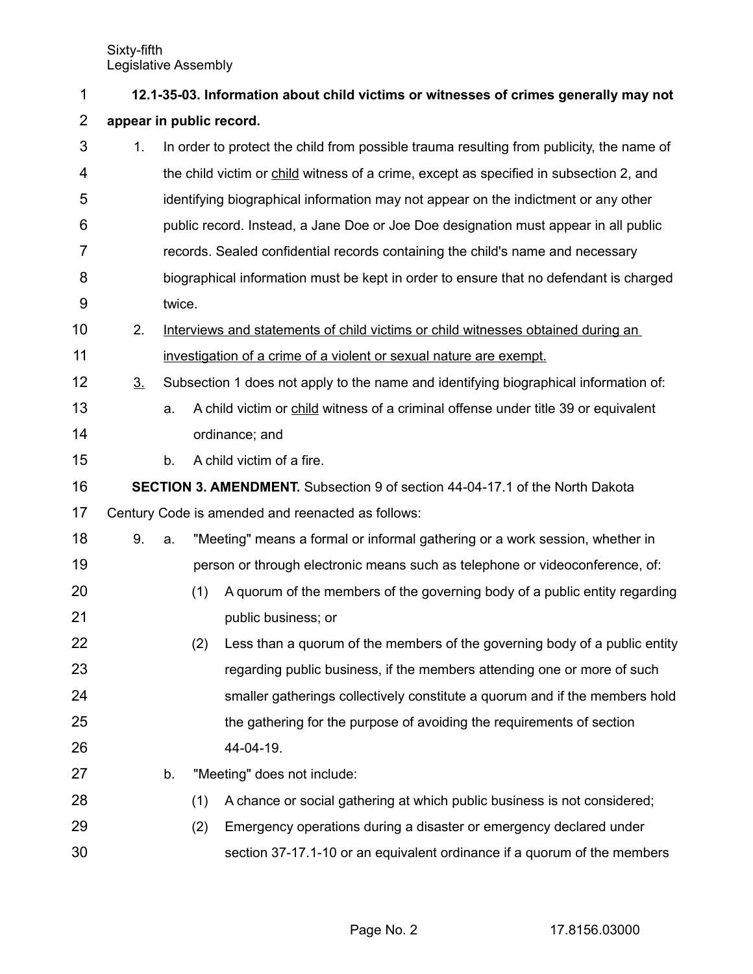| 1              | 12.1-35-03. Information about child victims or witnesses of crimes generally may not |        |                                                                                  |                                                                                          |  |  |  |
|----------------|--------------------------------------------------------------------------------------|--------|----------------------------------------------------------------------------------|------------------------------------------------------------------------------------------|--|--|--|
| $\overline{2}$ | appear in public record.                                                             |        |                                                                                  |                                                                                          |  |  |  |
| 3              | 1.                                                                                   |        |                                                                                  | In order to protect the child from possible trauma resulting from publicity, the name of |  |  |  |
| 4              |                                                                                      |        |                                                                                  | the child victim or child witness of a crime, except as specified in subsection 2, and   |  |  |  |
| 5              |                                                                                      |        |                                                                                  | identifying biographical information may not appear on the indictment or any other       |  |  |  |
| 6              |                                                                                      |        |                                                                                  | public record. Instead, a Jane Doe or Joe Doe designation must appear in all public      |  |  |  |
| 7              |                                                                                      |        |                                                                                  | records. Sealed confidential records containing the child's name and necessary           |  |  |  |
| 8              |                                                                                      |        |                                                                                  | biographical information must be kept in order to ensure that no defendant is charged    |  |  |  |
| 9              |                                                                                      | twice. |                                                                                  |                                                                                          |  |  |  |
| 10             | 2.                                                                                   |        | Interviews and statements of child victims or child witnesses obtained during an |                                                                                          |  |  |  |
| 11             |                                                                                      |        |                                                                                  | investigation of a crime of a violent or sexual nature are exempt.                       |  |  |  |
| 12             | 3 <sub>1</sub>                                                                       |        |                                                                                  | Subsection 1 does not apply to the name and identifying biographical information of:     |  |  |  |
| 13             |                                                                                      | a.     |                                                                                  | A child victim or child witness of a criminal offense under title 39 or equivalent       |  |  |  |
| 14             |                                                                                      |        |                                                                                  | ordinance; and                                                                           |  |  |  |
| 15             |                                                                                      | b.     |                                                                                  | A child victim of a fire.                                                                |  |  |  |
| 16             | <b>SECTION 3. AMENDMENT.</b> Subsection 9 of section 44-04-17.1 of the North Dakota  |        |                                                                                  |                                                                                          |  |  |  |
| 17             | Century Code is amended and reenacted as follows:                                    |        |                                                                                  |                                                                                          |  |  |  |
| 18             | 9.                                                                                   | a.     |                                                                                  | "Meeting" means a formal or informal gathering or a work session, whether in             |  |  |  |
| 19             |                                                                                      |        |                                                                                  | person or through electronic means such as telephone or videoconference, of:             |  |  |  |
| 20             |                                                                                      |        | (1)                                                                              | A quorum of the members of the governing body of a public entity regarding               |  |  |  |
| 21             |                                                                                      |        |                                                                                  | public business; or                                                                      |  |  |  |
| 22             |                                                                                      |        | (2)                                                                              | Less than a quorum of the members of the governing body of a public entity               |  |  |  |
| 23             |                                                                                      |        |                                                                                  | regarding public business, if the members attending one or more of such                  |  |  |  |
| 24             |                                                                                      |        |                                                                                  | smaller gatherings collectively constitute a quorum and if the members hold              |  |  |  |
| 25             |                                                                                      |        |                                                                                  | the gathering for the purpose of avoiding the requirements of section                    |  |  |  |
| 26             |                                                                                      |        |                                                                                  | 44-04-19.                                                                                |  |  |  |
| 27             |                                                                                      | b.     |                                                                                  | "Meeting" does not include:                                                              |  |  |  |
| 28             |                                                                                      |        | (1)                                                                              | A chance or social gathering at which public business is not considered;                 |  |  |  |
| 29             |                                                                                      |        | (2)                                                                              | Emergency operations during a disaster or emergency declared under                       |  |  |  |
| 30             |                                                                                      |        |                                                                                  | section 37-17.1-10 or an equivalent ordinance if a quorum of the members                 |  |  |  |

Page No. 2 17.8156.03000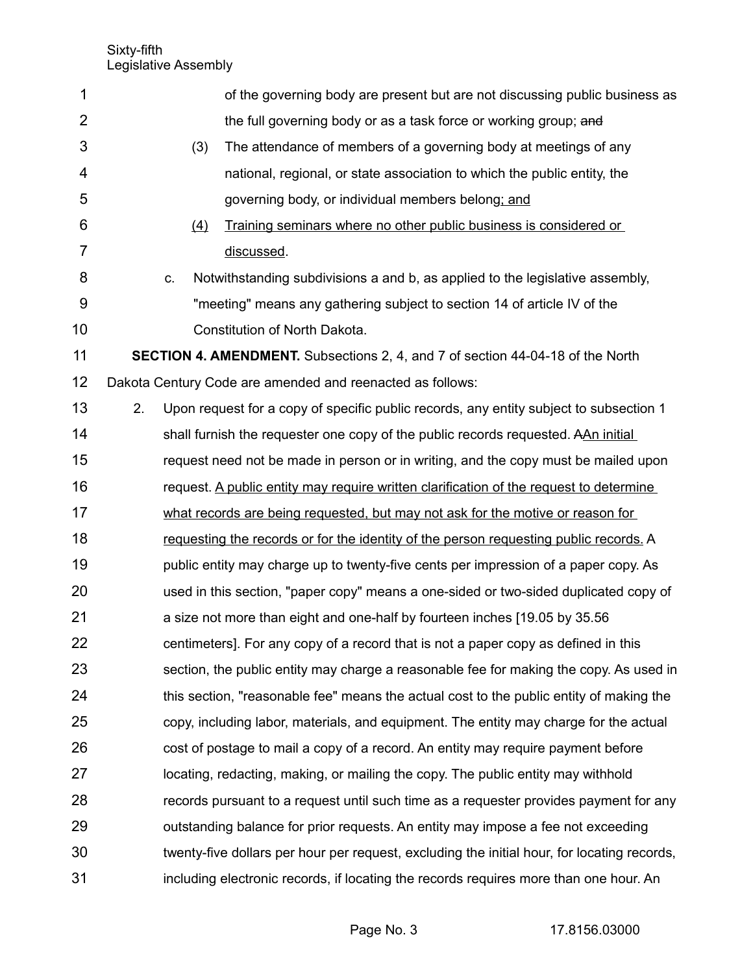| 1              |    |    |     | of the governing body are present but are not discussing public business as                 |
|----------------|----|----|-----|---------------------------------------------------------------------------------------------|
| $\overline{2}$ |    |    |     | the full governing body or as a task force or working group; and                            |
| 3              |    |    | (3) | The attendance of members of a governing body at meetings of any                            |
| 4              |    |    |     | national, regional, or state association to which the public entity, the                    |
| 5              |    |    |     | governing body, or individual members belong; and                                           |
| 6              |    |    | (4) | Training seminars where no other public business is considered or                           |
| 7              |    |    |     | discussed.                                                                                  |
| 8              |    | C. |     | Notwithstanding subdivisions a and b, as applied to the legislative assembly,               |
| 9              |    |    |     | "meeting" means any gathering subject to section 14 of article IV of the                    |
| 10             |    |    |     | Constitution of North Dakota.                                                               |
| 11             |    |    |     | <b>SECTION 4. AMENDMENT.</b> Subsections 2, 4, and 7 of section 44-04-18 of the North       |
| 12             |    |    |     | Dakota Century Code are amended and reenacted as follows:                                   |
| 13             | 2. |    |     | Upon request for a copy of specific public records, any entity subject to subsection 1      |
| 14             |    |    |     | shall furnish the requester one copy of the public records requested. AAn initial           |
| 15             |    |    |     | request need not be made in person or in writing, and the copy must be mailed upon          |
| 16             |    |    |     | request. A public entity may require written clarification of the request to determine      |
| 17             |    |    |     | what records are being requested, but may not ask for the motive or reason for              |
| 18             |    |    |     | requesting the records or for the identity of the person requesting public records. A       |
| 19             |    |    |     | public entity may charge up to twenty-five cents per impression of a paper copy. As         |
| 20             |    |    |     | used in this section, "paper copy" means a one-sided or two-sided duplicated copy of        |
| 21             |    |    |     | a size not more than eight and one-half by fourteen inches [19.05 by 35.56]                 |
| 22             |    |    |     | centimeters]. For any copy of a record that is not a paper copy as defined in this          |
| 23             |    |    |     | section, the public entity may charge a reasonable fee for making the copy. As used in      |
| 24             |    |    |     | this section, "reasonable fee" means the actual cost to the public entity of making the     |
| 25             |    |    |     | copy, including labor, materials, and equipment. The entity may charge for the actual       |
| 26             |    |    |     | cost of postage to mail a copy of a record. An entity may require payment before            |
| 27             |    |    |     | locating, redacting, making, or mailing the copy. The public entity may withhold            |
| 28             |    |    |     | records pursuant to a request until such time as a requester provides payment for any       |
| 29             |    |    |     | outstanding balance for prior requests. An entity may impose a fee not exceeding            |
| 30             |    |    |     | twenty-five dollars per hour per request, excluding the initial hour, for locating records, |
| 31             |    |    |     | including electronic records, if locating the records requires more than one hour. An       |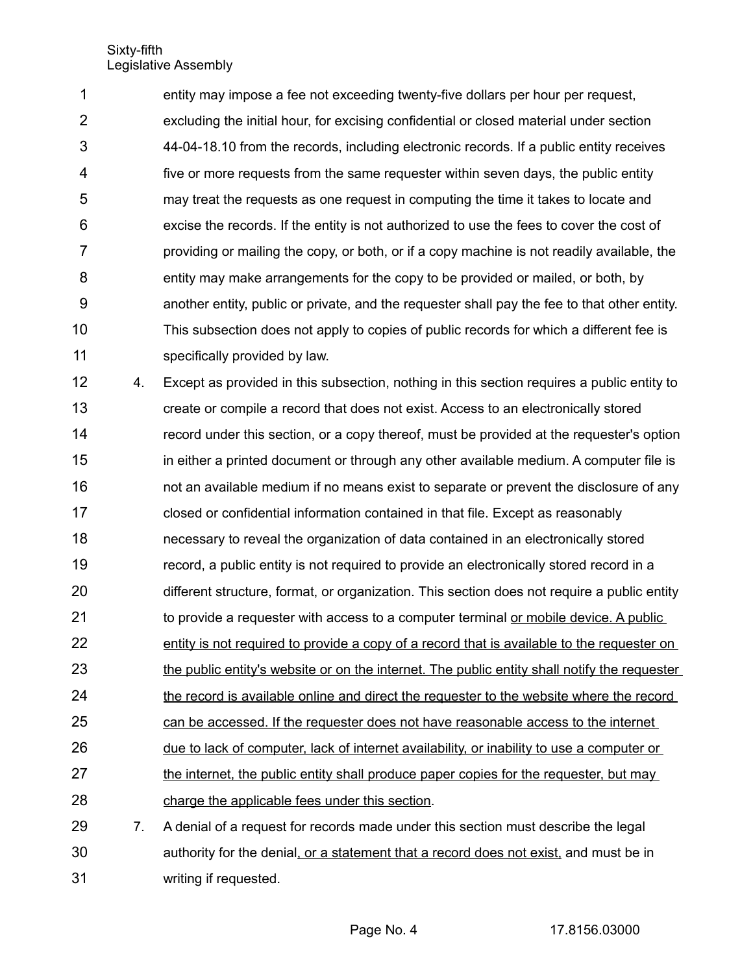entity may impose a fee not exceeding twenty-five dollars per hour per request, excluding the initial hour, for excising confidential or closed material under section 44-04-18.10 from the records, including electronic records. If a public entity receives five or more requests from the same requester within seven days, the public entity may treat the requests as one request in computing the time it takes to locate and excise the records. If the entity is not authorized to use the fees to cover the cost of providing or mailing the copy, or both, or if a copy machine is not readily available, the entity may make arrangements for the copy to be provided or mailed, or both, by another entity, public or private, and the requester shall pay the fee to that other entity. This subsection does not apply to copies of public records for which a different fee is specifically provided by law. 1 2 3 4 5 6 7 8 9 10 11

4. Except as provided in this subsection, nothing in this section requires a public entity to create or compile a record that does not exist. Access to an electronically stored record under this section, or a copy thereof, must be provided at the requester's option in either a printed document or through any other available medium. A computer file is not an available medium if no means exist to separate or prevent the disclosure of any closed or confidential information contained in that file. Except as reasonably necessary to reveal the organization of data contained in an electronically stored record, a public entity is not required to provide an electronically stored record in a different structure, format, or organization. This section does not require a public entity to provide a requester with access to a computer terminal or mobile device. A public entity is not required to provide a copy of a record that is available to the requester on the public entity's website or on the internet. The public entity shall notify the requester the record is available online and direct the requester to the website where the record can be accessed. If the requester does not have reasonable access to the internet due to lack of computer, lack of internet availability, or inability to use a computer or the internet, the public entity shall produce paper copies for the requester, but may charge the applicable fees under this section. 7. A denial of a request for records made under this section must describe the legal 12 13 14 15 16 17 18 19 20 21 22 23 24 25 26 27 28 29

authority for the denial, or a statement that a record does not exist, and must be in writing if requested. 30 31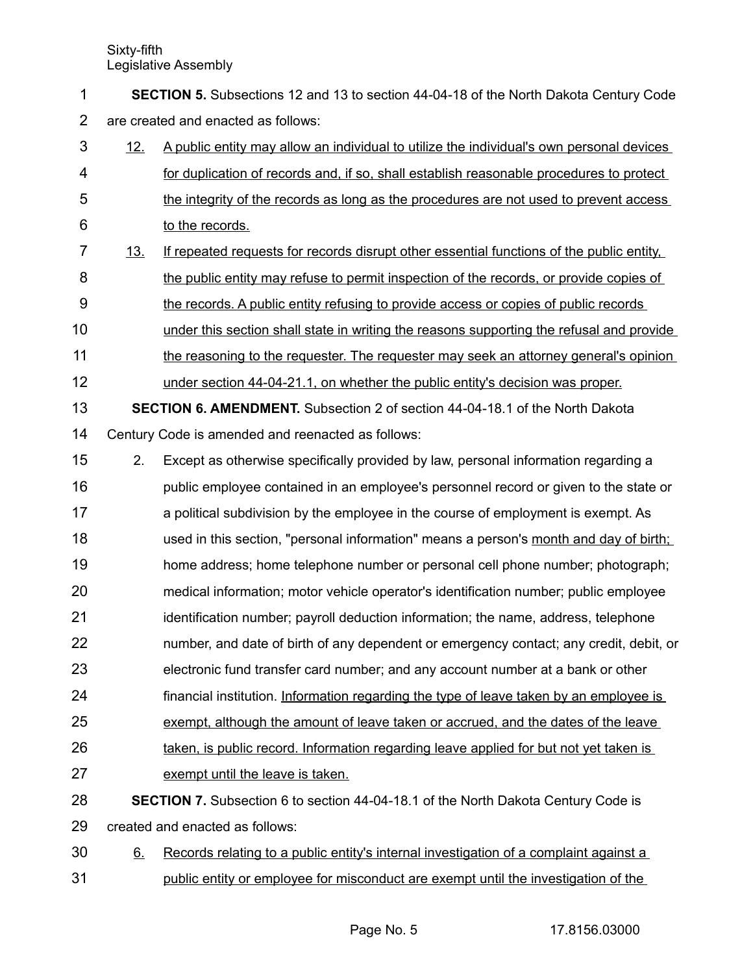**SECTION 5.** Subsections 12 and 13 to section 44-04-18 of the North Dakota Century Code are created and enacted as follows: 1 2

- 12. A public entity may allow an individual to utilize the individual's own personal devices for duplication of records and, if so, shall establish reasonable procedures to protect the integrity of the records as long as the procedures are not used to prevent access to the records. 3 4 5 6
- 13. If repeated requests for records disrupt other essential functions of the public entity, the public entity may refuse to permit inspection of the records, or provide copies of the records. A public entity refusing to provide access or copies of public records 7 8 9
- under this section shall state in writing the reasons supporting the refusal and provide 10
- the reasoning to the requester. The requester may seek an attorney general's opinion 11
- under section 44-04-21.1, on whether the public entity's decision was proper. 12
- **SECTION 6. AMENDMENT.** Subsection 2 of section 44-04-18.1 of the North Dakota Century Code is amended and reenacted as follows: 13 14
- 2. Except as otherwise specifically provided by law, personal information regarding a 15
- public employee contained in an employee's personnel record or given to the state or a political subdivision by the employee in the course of employment is exempt. As used in this section, "personal information" means a person's month and day of birth; home address; home telephone number or personal cell phone number; photograph; medical information; motor vehicle operator's identification number; public employee identification number; payroll deduction information; the name, address, telephone 16 17 18 19 20 21
- number, and date of birth of any dependent or emergency contact; any credit, debit, or 22
- electronic fund transfer card number; and any account number at a bank or other 23
- financial institution. Information regarding the type of leave taken by an employee is 24
- exempt, although the amount of leave taken or accrued, and the dates of the leave 25
- taken, is public record. Information regarding leave applied for but not yet taken is 26
- exempt until the leave is taken. 27
- **SECTION 7.** Subsection 6 to section 44-04-18.1 of the North Dakota Century Code is created and enacted as follows: 28 29
- 6. Records relating to a public entity's internal investigation of a complaint against a public entity or employee for misconduct are exempt until the investigation of the 30 31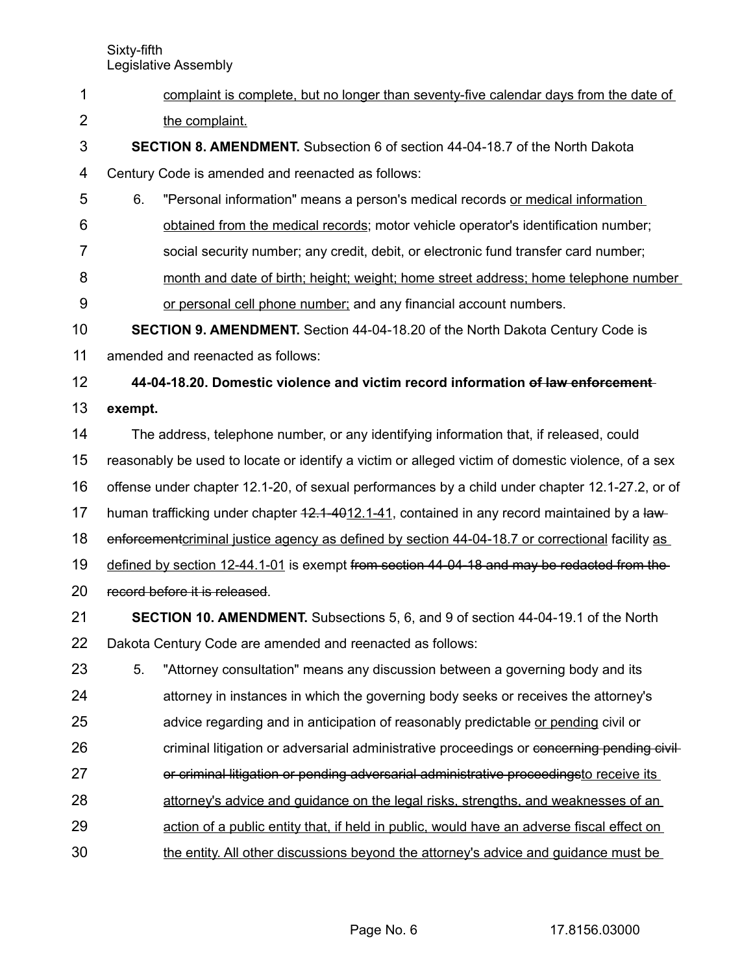- Sixty-fifth Legislative Assembly complaint is complete, but no longer than seventy-five calendar days from the date of the complaint. **SECTION 8. AMENDMENT.** Subsection 6 of section 44-04-18.7 of the North Dakota Century Code is amended and reenacted as follows: 6. "Personal information" means a person's medical records or medical information obtained from the medical records; motor vehicle operator's identification number; social security number; any credit, debit, or electronic fund transfer card number; month and date of birth; height; weight; home street address; home telephone number or personal cell phone number; and any financial account numbers. **SECTION 9. AMENDMENT.** Section 44-04-18.20 of the North Dakota Century Code is amended and reenacted as follows: **44-04-18.20. Domestic violence and victim record information of law enforcement exempt.** The address, telephone number, or any identifying information that, if released, could reasonably be used to locate or identify a victim or alleged victim of domestic violence, of a sex offense under chapter 12.1-20, of sexual performances by a child under chapter 12.1-27.2, or of human trafficking under chapter  $42.1 - 4012.1 - 41$ , contained in any record maintained by a lawenforcement criminal justice agency as defined by section 44-04-18.7 or correctional facility as defined by section 12-44.1-01 is exempt from section 44-04-18 and may be redacted from the record before it is released. **SECTION 10. AMENDMENT.** Subsections 5, 6, and 9 of section 44-04-19.1 of the North Dakota Century Code are amended and reenacted as follows: 5. "Attorney consultation" means any discussion between a governing body and its attorney in instances in which the governing body seeks or receives the attorney's advice regarding and in anticipation of reasonably predictable or pending civil or criminal litigation or adversarial administrative proceedings or concerning pending civilor criminal litigation or pending adversarial administrative proceedingsto receive its 1 2 3 4 5 6 7 8 9 10 11 12 13 14 15 16 17 18 19 20 21 22 23 24 25 26 27
- attorney's advice and guidance on the legal risks, strengths, and weaknesses of an 28
- action of a public entity that, if held in public, would have an adverse fiscal effect on 29
- the entity. All other discussions beyond the attorney's advice and guidance must be 30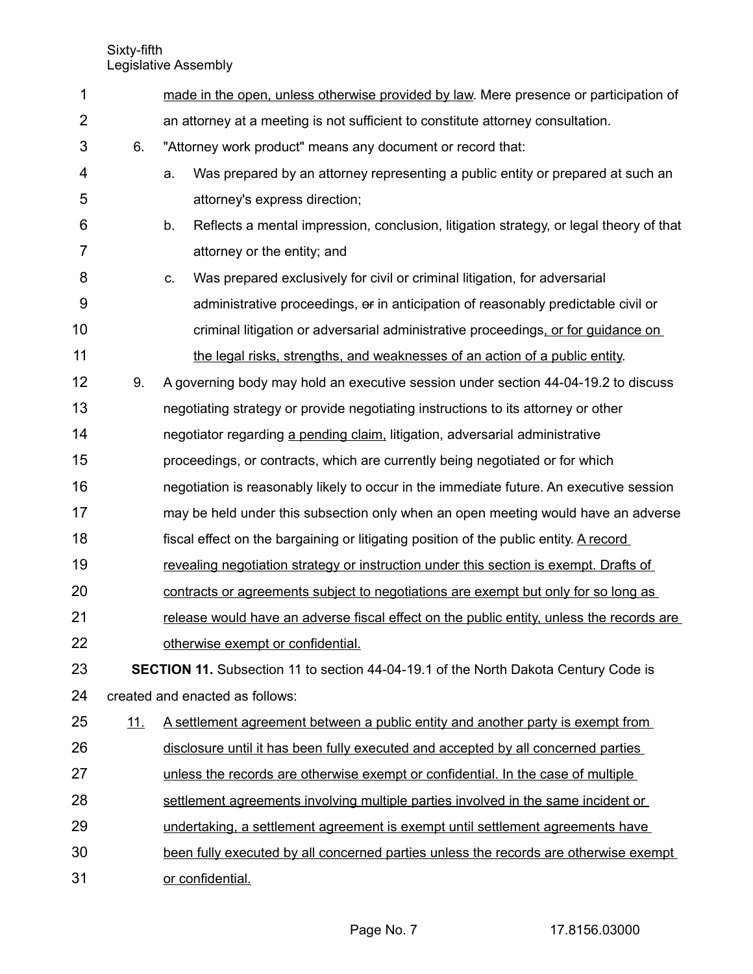| 1              |            | made in the open, unless otherwise provided by law. Mere presence or participation of        |  |  |  |
|----------------|------------|----------------------------------------------------------------------------------------------|--|--|--|
| $\overline{2}$ |            | an attorney at a meeting is not sufficient to constitute attorney consultation.              |  |  |  |
| 3              | 6.         | "Attorney work product" means any document or record that:                                   |  |  |  |
| 4              |            | Was prepared by an attorney representing a public entity or prepared at such an<br>a.        |  |  |  |
| 5              |            | attorney's express direction;                                                                |  |  |  |
| 6              |            | b.<br>Reflects a mental impression, conclusion, litigation strategy, or legal theory of that |  |  |  |
| $\overline{7}$ |            | attorney or the entity; and                                                                  |  |  |  |
| 8              |            | Was prepared exclusively for civil or criminal litigation, for adversarial<br>C.             |  |  |  |
| 9              |            | administrative proceedings, or in anticipation of reasonably predictable civil or            |  |  |  |
| 10             |            | criminal litigation or adversarial administrative proceedings, or for guidance on            |  |  |  |
| 11             |            | the legal risks, strengths, and weaknesses of an action of a public entity.                  |  |  |  |
| 12             | 9.         | A governing body may hold an executive session under section 44-04-19.2 to discuss           |  |  |  |
| 13             |            | negotiating strategy or provide negotiating instructions to its attorney or other            |  |  |  |
| 14             |            | negotiator regarding a pending claim, litigation, adversarial administrative                 |  |  |  |
| 15             |            | proceedings, or contracts, which are currently being negotiated or for which                 |  |  |  |
| 16             |            | negotiation is reasonably likely to occur in the immediate future. An executive session      |  |  |  |
| 17             |            | may be held under this subsection only when an open meeting would have an adverse            |  |  |  |
| 18             |            | fiscal effect on the bargaining or litigating position of the public entity. A record        |  |  |  |
| 19             |            | revealing negotiation strategy or instruction under this section is exempt. Drafts of        |  |  |  |
| 20             |            | contracts or agreements subject to negotiations are exempt but only for so long as           |  |  |  |
| 21             |            | release would have an adverse fiscal effect on the public entity, unless the records are     |  |  |  |
| 22             |            | otherwise exempt or confidential.                                                            |  |  |  |
| 23             |            | <b>SECTION 11.</b> Subsection 11 to section 44-04-19.1 of the North Dakota Century Code is   |  |  |  |
| 24             |            | created and enacted as follows:                                                              |  |  |  |
| 25             | <u>11.</u> | <u>A settlement agreement between a public entity and another party is exempt from</u>       |  |  |  |
| 26             |            | disclosure until it has been fully executed and accepted by all concerned parties            |  |  |  |
| 27             |            | unless the records are otherwise exempt or confidential. In the case of multiple             |  |  |  |
| 28             |            | settlement agreements involving multiple parties involved in the same incident or            |  |  |  |
| 29             |            | undertaking, a settlement agreement is exempt until settlement agreements have               |  |  |  |
| 30             |            | been fully executed by all concerned parties unless the records are otherwise exempt         |  |  |  |
| 31             |            | or confidential.                                                                             |  |  |  |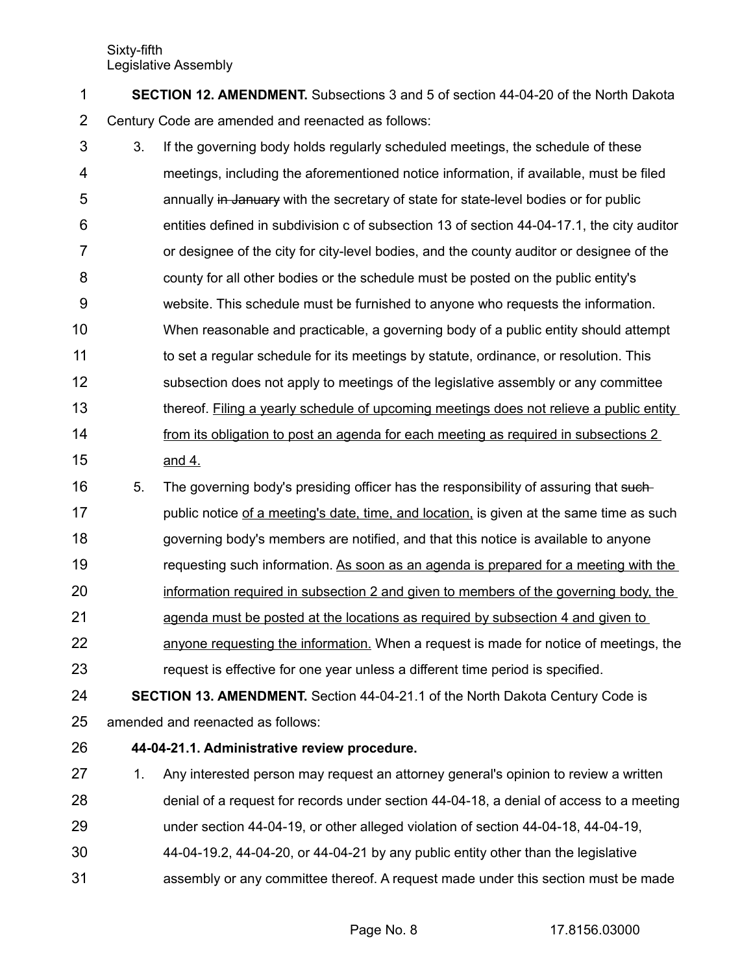| <b>SECTION 12. AMENDMENT.</b> Subsections 3 and 5 of section 44-04-20 of the North Dakota |
|-------------------------------------------------------------------------------------------|
| Century Code are amended and reenacted as follows:                                        |

- 3. If the governing body holds regularly scheduled meetings, the schedule of these meetings, including the aforementioned notice information, if available, must be filed annually in January with the secretary of state for state-level bodies or for public entities defined in subdivision c of subsection 13 of section 44-04-17.1, the city auditor or designee of the city for city-level bodies, and the county auditor or designee of the county for all other bodies or the schedule must be posted on the public entity's website. This schedule must be furnished to anyone who requests the information. When reasonable and practicable, a governing body of a public entity should attempt to set a regular schedule for its meetings by statute, ordinance, or resolution. This subsection does not apply to meetings of the legislative assembly or any committee thereof. Filing a yearly schedule of upcoming meetings does not relieve a public entity from its obligation to post an agenda for each meeting as required in subsections 2 and 4. 3 4 5 6 7 8 9 10 11 12 13 14 15
- 5. The governing body's presiding officer has the responsibility of assuring that suchpublic notice of a meeting's date, time, and location, is given at the same time as such governing body's members are notified, and that this notice is available to anyone requesting such information. As soon as an agenda is prepared for a meeting with the information required in subsection 2 and given to members of the governing body, the 16 17 18 19 20
- agenda must be posted at the locations as required by subsection 4 and given to 21
- anyone requesting the information. When a request is made for notice of meetings, the request is effective for one year unless a different time period is specified. 22 23
- **SECTION 13. AMENDMENT.** Section 44-04-21.1 of the North Dakota Century Code is amended and reenacted as follows: 24 25
- **44-04-21.1. Administrative review procedure.** 26
- 1. Any interested person may request an attorney general's opinion to review a written denial of a request for records under section 44-04-18, a denial of access to a meeting 27 28
- under section 44-04-19, or other alleged violation of section 44-04-18, 44-04-19, 29
- 44-04-19.2, 44-04-20, or 44-04-21 by any public entity other than the legislative 30
- assembly or any committee thereof. A request made under this section must be made 31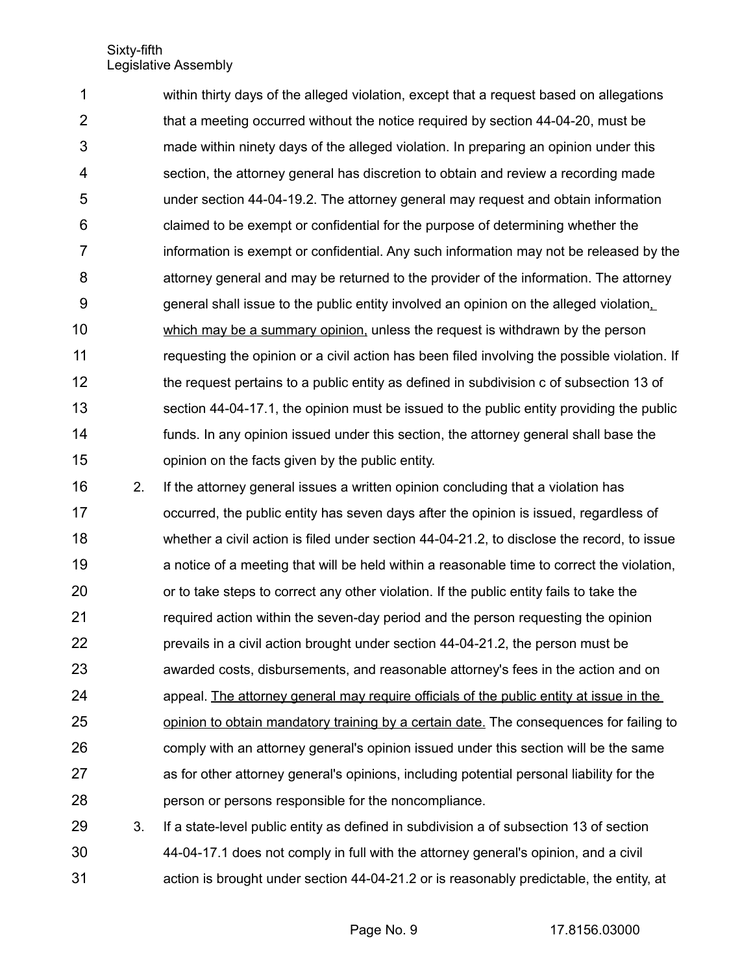within thirty days of the alleged violation, except that a request based on allegations that a meeting occurred without the notice required by section 44-04-20, must be made within ninety days of the alleged violation. In preparing an opinion under this section, the attorney general has discretion to obtain and review a recording made under section 44-04-19.2. The attorney general may request and obtain information claimed to be exempt or confidential for the purpose of determining whether the information is exempt or confidential. Any such information may not be released by the attorney general and may be returned to the provider of the information. The attorney general shall issue to the public entity involved an opinion on the alleged violation, which may be a summary opinion, unless the request is withdrawn by the person requesting the opinion or a civil action has been filed involving the possible violation. If the request pertains to a public entity as defined in subdivision c of subsection 13 of section 44-04-17.1, the opinion must be issued to the public entity providing the public funds. In any opinion issued under this section, the attorney general shall base the opinion on the facts given by the public entity. 1 2 3 4 5 6 7 8 9 10 11 12 13 14 15

2. If the attorney general issues a written opinion concluding that a violation has occurred, the public entity has seven days after the opinion is issued, regardless of whether a civil action is filed under section 44-04-21.2, to disclose the record, to issue a notice of a meeting that will be held within a reasonable time to correct the violation, or to take steps to correct any other violation. If the public entity fails to take the required action within the seven-day period and the person requesting the opinion prevails in a civil action brought under section 44-04-21.2, the person must be awarded costs, disbursements, and reasonable attorney's fees in the action and on appeal. The attorney general may require officials of the public entity at issue in the opinion to obtain mandatory training by a certain date. The consequences for failing to comply with an attorney general's opinion issued under this section will be the same as for other attorney general's opinions, including potential personal liability for the person or persons responsible for the noncompliance. 16 17 18 19 20 21 22 23 24 25 26 27 28

3. If a state-level public entity as defined in subdivision a of subsection 13 of section 44-04-17.1 does not comply in full with the attorney general's opinion, and a civil action is brought under section 44-04-21.2 or is reasonably predictable, the entity, at 29 30 31